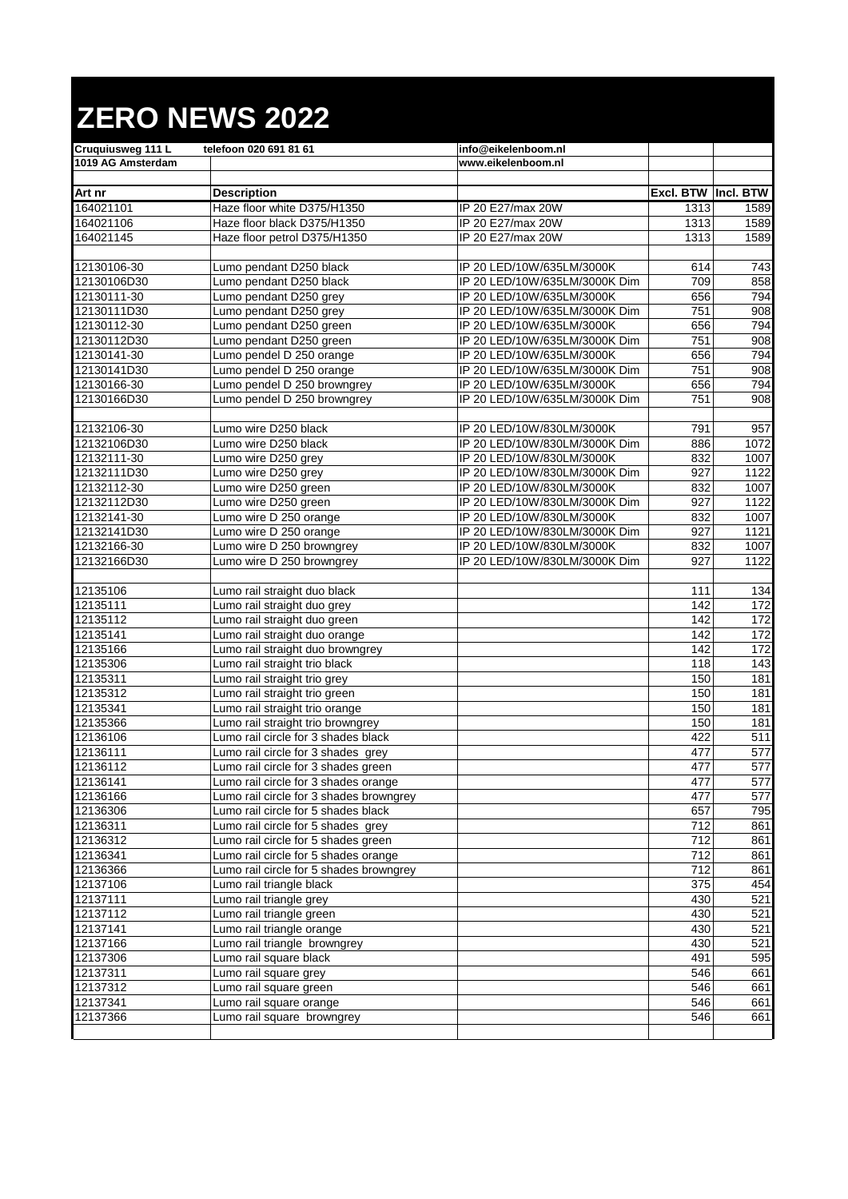## **ZERO NEWS 2022**

| <b>Cruguiusweg 111 L</b> | telefoon 020 691 81 61                  | info@eikelenboom.nl           |                      |                 |
|--------------------------|-----------------------------------------|-------------------------------|----------------------|-----------------|
| 1019 AG Amsterdam        |                                         | www.eikelenboom.nl            |                      |                 |
|                          |                                         |                               |                      |                 |
| Art nr                   | <b>Description</b>                      |                               | Excl. BTW  Incl. BTW |                 |
| 164021101                | Haze floor white D375/H1350             | IP 20 E27/max 20W             | 1313                 | 1589            |
| 164021106                | Haze floor black D375/H1350             | IP 20 E27/max 20W             | 1313                 | 1589            |
| 164021145                | Haze floor petrol D375/H1350            | IP 20 E27/max 20W             | 1313                 | 1589            |
|                          |                                         |                               |                      |                 |
| 12130106-30              | Lumo pendant D250 black                 | IP 20 LED/10W/635LM/3000K     | 614                  | 743             |
| 12130106D30              | Lumo pendant D250 black                 | IP 20 LED/10W/635LM/3000K Dim | 709                  | 858             |
| 12130111-30              | Lumo pendant D250 grey                  | IP 20 LED/10W/635LM/3000K     | 656                  | 794             |
| 12130111D30              | Lumo pendant D250 grey                  | IP 20 LED/10W/635LM/3000K Dim | 751                  | 908             |
| 12130112-30              | Lumo pendant D250 green                 | IP 20 LED/10W/635LM/3000K     | 656                  | 794             |
| 12130112D30              | Lumo pendant D250 green                 | IP 20 LED/10W/635LM/3000K Dim | 751                  | 908             |
| 12130141-30              | Lumo pendel D 250 orange                | IP 20 LED/10W/635LM/3000K     | 656                  | 794             |
| 12130141D30              | Lumo pendel D 250 orange                | IP 20 LED/10W/635LM/3000K Dim | 751                  | 908             |
| 12130166-30              | Lumo pendel D 250 browngrey             | IP 20 LED/10W/635LM/3000K     | 656                  | 794             |
| 12130166D30              | Lumo pendel D 250 browngrey             | IP 20 LED/10W/635LM/3000K Dim | 751                  | 908             |
|                          |                                         |                               |                      |                 |
| 12132106-30              | Lumo wire D250 black                    | IP 20 LED/10W/830LM/3000K     | 791                  | 957             |
| 12132106D30              | Lumo wire D250 black                    | IP 20 LED/10W/830LM/3000K Dim | 886                  | 1072            |
| 12132111-30              | Lumo wire D250 grey                     | IP 20 LED/10W/830LM/3000K     | 832                  | 1007            |
| 12132111D30              | Lumo wire D250 grey                     | IP 20 LED/10W/830LM/3000K Dim | 927                  | 1122            |
| 12132112-30              | Lumo wire D250 green                    | IP 20 LED/10W/830LM/3000K     | 832                  | 1007            |
| 12132112D30              | Lumo wire D250 green                    | IP 20 LED/10W/830LM/3000K Dim | 927                  | 1122            |
| 12132141-30              | Lumo wire D 250 orange                  | IP 20 LED/10W/830LM/3000K     | 832                  | 1007            |
| 12132141D30              | Lumo wire D 250 orange                  | IP 20 LED/10W/830LM/3000K Dim | 927                  | 1121            |
| 12132166-30              | Lumo wire D 250 browngrey               | IP 20 LED/10W/830LM/3000K     | 832                  | 1007            |
| 12132166D30              | Lumo wire D 250 browngrey               | IP 20 LED/10W/830LM/3000K Dim | 927                  | 1122            |
|                          |                                         |                               |                      |                 |
| 12135106                 | Lumo rail straight duo black            |                               | 111                  | 134             |
| 12135111                 | Lumo rail straight duo grey             |                               | 142                  | 172             |
| 12135112                 | Lumo rail straight duo green            |                               | 142                  | 172             |
| 12135141                 | Lumo rail straight duo orange           |                               | 142                  | 172             |
| 12135166                 | Lumo rail straight duo browngrey        |                               | 142                  | $\frac{1}{172}$ |
| 12135306                 | Lumo rail straight trio black           |                               | 118                  | 143             |
| 12135311                 | Lumo rail straight trio grey            |                               | 150                  | 181             |
| 12135312                 | Lumo rail straight trio green           |                               | 150                  | 181             |
| 12135341                 | Lumo rail straight trio orange          |                               | 150                  | 181             |
| 12135366                 | Lumo rail straight trio browngrey       |                               | 150                  | 181             |
| 12136106                 | Lumo rail circle for 3 shades black     |                               | 422                  | 511             |
| 12136111                 | Lumo rail circle for 3 shades grey      |                               | 477                  | 577             |
| 12136112                 | Lumo rail circle for 3 shades green     |                               | 477                  | 577             |
| 12136141                 | Lumo rail circle for 3 shades orange    |                               | 477                  | 577             |
| 12136166                 | Lumo rail circle for 3 shades browngrey |                               | 477                  | 577             |
| 12136306                 | Lumo rail circle for 5 shades black     |                               | 657                  | 795             |
| 12136311                 | Lumo rail circle for 5 shades grey      |                               | 712                  | 861             |
| 12136312                 | Lumo rail circle for 5 shades green     |                               | 712                  | 861             |
| 12136341                 | Lumo rail circle for 5 shades orange    |                               | 712                  | 861             |
| 12136366                 | Lumo rail circle for 5 shades browngrey |                               | 712                  | 861             |
| 12137106                 | Lumo rail triangle black                |                               | 375                  | 454             |
| 12137111                 | Lumo rail triangle grey                 |                               | 430                  | 521             |
| 12137112                 | Lumo rail triangle green                |                               | 430                  | 521             |
| 12137141                 | Lumo rail triangle orange               |                               | 430                  | 521             |
| 12137166                 | Lumo rail triangle browngrey            |                               | 430                  | 521             |
| 12137306                 | Lumo rail square black                  |                               | 491                  | 595             |
| 12137311                 | Lumo rail square grey                   |                               | 546                  | 661             |
| 12137312                 | Lumo rail square green                  |                               | 546                  | 661             |
| 12137341                 | Lumo rail square orange                 |                               | 546                  | 661             |
| 12137366                 | Lumo rail square browngrey              |                               | 546                  | 661             |
|                          |                                         |                               |                      |                 |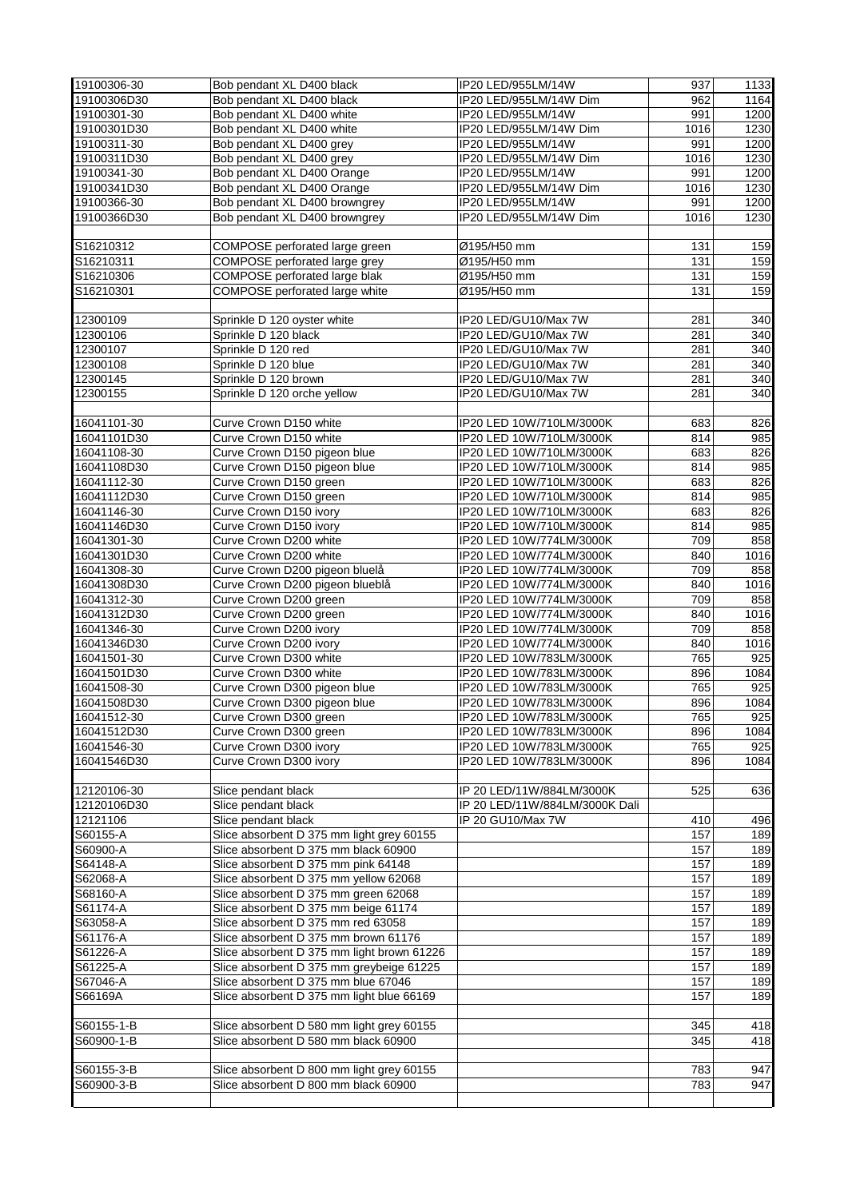| 19100306-30                | Bob pendant XL D400 black                                    | IP20 LED/955LM/14W                                   | 937        | 1133       |
|----------------------------|--------------------------------------------------------------|------------------------------------------------------|------------|------------|
| 19100306D30                | Bob pendant XL D400 black                                    | IP20 LED/955LM/14W Dim                               | 962        | 1164       |
| 19100301-30                | Bob pendant XL D400 white                                    | IP20 LED/955LM/14W                                   | 991        | 1200       |
| 19100301D30                | Bob pendant XL D400 white                                    | IP20 LED/955LM/14W Dim                               | 1016       | 1230       |
| 19100311-30                | Bob pendant XL D400 grey                                     | IP20 LED/955LM/14W                                   | 991        | 1200       |
| 19100311D30                | Bob pendant XL D400 grey                                     | IP20 LED/955LM/14W Dim                               | 1016       | 1230       |
| 19100341-30                | Bob pendant XL D400 Orange                                   | IP20 LED/955LM/14W                                   | 991        | 1200       |
| 19100341D30                | Bob pendant XL D400 Orange                                   | IP20 LED/955LM/14W Dim                               | 1016       | 1230       |
| 19100366-30                | Bob pendant XL D400 browngrey                                | IP20 LED/955LM/14W                                   | 991        | 1200       |
| 19100366D30                | Bob pendant XL D400 browngrey                                | IP20 LED/955LM/14W Dim                               | 1016       | 1230       |
|                            |                                                              |                                                      |            |            |
| S16210312                  | COMPOSE perforated large green                               | Ø195/H50 mm                                          | 131        | 159        |
| S16210311                  | COMPOSE perforated large grey                                | Ø195/H50 mm                                          | 131        | 159        |
| S16210306                  | COMPOSE perforated large blak                                | Ø195/H50 mm                                          | 131        | 159        |
| S16210301                  | COMPOSE perforated large white                               | Ø195/H50 mm                                          | 131        | 159        |
|                            |                                                              |                                                      |            |            |
| 12300109                   | Sprinkle D 120 oyster white                                  | IP20 LED/GU10/Max 7W                                 | 281        | 340        |
| 12300106                   | Sprinkle D 120 black                                         | IP20 LED/GU10/Max 7W                                 | 281        | 340        |
| 12300107                   | Sprinkle D 120 red                                           | IP20 LED/GU10/Max 7W                                 | 281        | 340        |
| 12300108                   | Sprinkle D 120 blue                                          | IP20 LED/GU10/Max 7W                                 | 281        | 340        |
| 12300145                   | Sprinkle D 120 brown                                         | IP20 LED/GU10/Max 7W                                 | 281        | 340        |
| 12300155                   | Sprinkle D 120 orche yellow                                  | IP20 LED/GU10/Max 7W                                 | 281        | 340        |
| 16041101-30                | Curve Crown D150 white                                       | IP20 LED 10W/710LM/3000K                             | 683        | 826        |
| 16041101D30                | Curve Crown D150 white                                       | IP20 LED 10W/710LM/3000K                             | 814        | 985        |
|                            |                                                              | IP20 LED 10W/710LM/3000K                             | 683        | 826        |
| 16041108-30<br>16041108D30 | Curve Crown D150 pigeon blue<br>Curve Crown D150 pigeon blue |                                                      | 814        | 985        |
| 16041112-30                | Curve Crown D150 green                                       | IP20 LED 10W/710LM/3000K<br>IP20 LED 10W/710LM/3000K | 683        | 826        |
| 16041112D30                |                                                              | IP20 LED 10W/710LM/3000K                             | 814        | 985        |
| 16041146-30                | Curve Crown D150 green<br>Curve Crown D150 ivory             | IP20 LED 10W/710LM/3000K                             | 683        | 826        |
| 16041146D30                | Curve Crown D150 ivory                                       | IP20 LED 10W/710LM/3000K                             | 814        | 985        |
| 16041301-30                | Curve Crown D200 white                                       | IP20 LED 10W/774LM/3000K                             | 709        | 858        |
| 16041301D30                | Curve Crown D200 white                                       | IP20 LED 10W/774LM/3000K                             | 840        | 1016       |
| 16041308-30                | Curve Crown D200 pigeon bluelå                               | IP20 LED 10W/774LM/3000K                             | 709        | 858        |
| 16041308D30                | Curve Crown D200 pigeon blueblå                              | IP20 LED 10W/774LM/3000K                             | 840        | 1016       |
| 16041312-30                | Curve Crown D200 green                                       | IP20 LED 10W/774LM/3000K                             | 709        | 858        |
| 16041312D30                | Curve Crown D200 green                                       | IP20 LED 10W/774LM/3000K                             | 840        | 1016       |
| 16041346-30                | Curve Crown D200 ivory                                       | IP20 LED 10W/774LM/3000K                             | 709        | 858        |
| 16041346D30                | Curve Crown D200 ivory                                       | IP20 LED 10W/774LM/3000K                             | 840        | 1016       |
| 16041501-30                | Curve Crown D300 white                                       | IP20 LED 10W/783LM/3000K                             | 765        | 925        |
| 16041501D30                | Curve Crown D300 white                                       | IP20 LED 10W/783LM/3000K                             | 896        | 1084       |
| 16041508-30                | Curve Crown D300 pigeon blue                                 | IP20 LED 10W/783LM/3000K                             | 765        | 925        |
| 16041508D30                | Curve Crown D300 pigeon blue                                 | IP20 LED 10W/783LM/3000K                             | 896        | 1084       |
| 16041512-30                | Curve Crown D300 green                                       | IP20 LED 10W/783LM/3000K                             | 765        | 925        |
| 16041512D30                | Curve Crown D300 green                                       | IP20 LED 10W/783LM/3000K                             | 896        | 1084       |
| 16041546-30                | Curve Crown D300 ivory                                       | IP20 LED 10W/783LM/3000K                             | 765        | 925        |
| 16041546D30                | Curve Crown D300 ivory                                       | IP20 LED 10W/783LM/3000K                             | 896        | 1084       |
|                            |                                                              |                                                      |            |            |
| 12120106-30                | Slice pendant black                                          | IP 20 LED/11W/884LM/3000K                            | 525        | 636        |
| 12120106D30                | Slice pendant black                                          | IP 20 LED/11W/884LM/3000K Dali                       |            |            |
| 12121106                   | Slice pendant black                                          | IP 20 GU10/Max 7W                                    | 410        | 496        |
| S60155-A                   | Slice absorbent D 375 mm light grey 60155                    |                                                      | 157        | 189        |
| S60900-A                   | Slice absorbent D 375 mm black 60900                         |                                                      | 157        | 189        |
| S64148-A                   | Slice absorbent D 375 mm pink 64148                          |                                                      | 157        | 189        |
| S62068-A                   | Slice absorbent D 375 mm yellow 62068                        |                                                      | 157        | 189        |
| S68160-A                   | Slice absorbent D 375 mm green 62068                         |                                                      | 157        | 189        |
| S61174-A                   | Slice absorbent D 375 mm beige 61174                         |                                                      | 157        | 189        |
| S63058-A                   | Slice absorbent D 375 mm red 63058                           |                                                      | 157        | 189        |
| S61176-A                   | Slice absorbent D 375 mm brown 61176                         |                                                      | 157        | 189        |
| S61226-A                   | Slice absorbent D 375 mm light brown 61226                   |                                                      | 157        | 189        |
| S61225-A                   | Slice absorbent D 375 mm greybeige 61225                     |                                                      | 157        | 189        |
| S67046-A                   | Slice absorbent D 375 mm blue 67046                          |                                                      | 157        | 189        |
| S66169A                    | Slice absorbent D 375 mm light blue 66169                    |                                                      | 157        | 189        |
|                            | Slice absorbent D 580 mm light grey 60155                    |                                                      |            |            |
| S60155-1-B<br>S60900-1-B   | Slice absorbent D 580 mm black 60900                         |                                                      | 345<br>345 | 418<br>418 |
|                            |                                                              |                                                      |            |            |
| S60155-3-B                 | Slice absorbent D 800 mm light grey 60155                    |                                                      | 783        | 947        |
| S60900-3-B                 | Slice absorbent D 800 mm black 60900                         |                                                      | 783        | 947        |
|                            |                                                              |                                                      |            |            |